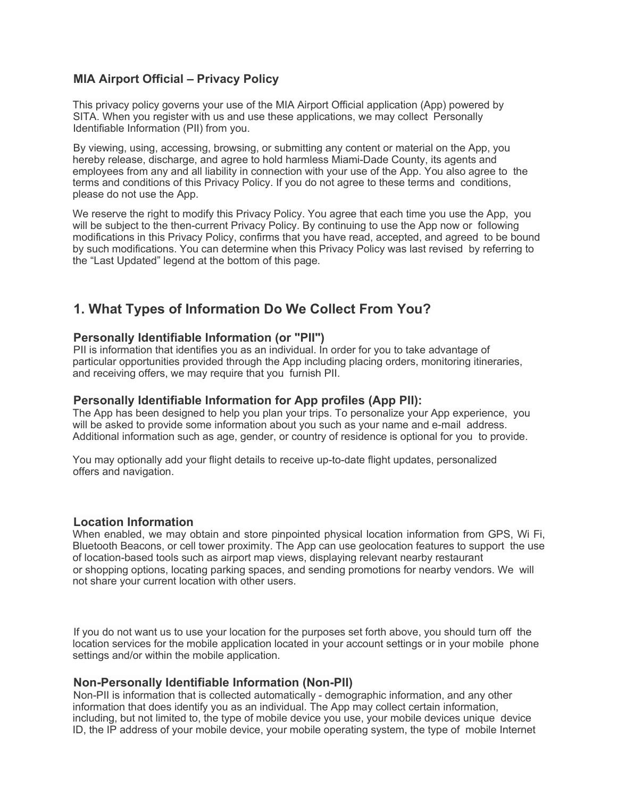### **MIA Airport Official – Privacy Policy**

This privacy policy governs your use of the MIA Airport Official application (App) powered by SITA. When you register with us and use these applications, we may collect Personally Identifiable Information (PII) from you.

By viewing, using, accessing, browsing, or submitting any content or material on the App, you hereby release, discharge, and agree to hold harmless Miami-Dade County, its agents and employees from any and all liability in connection with your use of the App. You also agree to the terms and conditions of this Privacy Policy. If you do not agree to these terms and conditions, please do not use the App.

We reserve the right to modify this Privacy Policy. You agree that each time you use the App, you will be subject to the then-current Privacy Policy. By continuing to use the App now or following modifications in this Privacy Policy, confirms that you have read, accepted, and agreed to be bound by such modifications. You can determine when this Privacy Policy was last revised by referring to the "Last Updated" legend at the bottom of this page.

# **1. What Types of Information Do We Collect From You?**

### **Personally Identifiable Information (or "PII")**

PII is information that identifies you as an individual. In order for you to take advantage of particular opportunities provided through the App including placing orders, monitoring itineraries, and receiving offers, we may require that you furnish PII.

#### **Personally Identifiable Information for App profiles (App PII):**

The App has been designed to help you plan your trips. To personalize your App experience, you will be asked to provide some information about you such as your name and e-mail address. Additional information such as age, gender, or country of residence is optional for you to provide.

You may optionally add your flight details to receive up-to-date flight updates, personalized offers and navigation.

#### **Location Information**

When enabled, we may obtain and store pinpointed physical location information from GPS, Wi Fi, Bluetooth Beacons, or cell tower proximity. The App can use geolocation features to support the use of location-based tools such as airport map views, displaying relevant nearby restaurant or shopping options, locating parking spaces, and sending promotions for nearby vendors. We will not share your current location with other users.

If you do not want us to use your location for the purposes set forth above, you should turn off the location services for the mobile application located in your account settings or in your mobile phone settings and/or within the mobile application.

### **Non-Personally Identifiable Information (Non-PII)**

Non-PII is information that is collected automatically - demographic information, and any other information that does identify you as an individual. The App may collect certain information, including, but not limited to, the type of mobile device you use, your mobile devices unique device ID, the IP address of your mobile device, your mobile operating system, the type of mobile Internet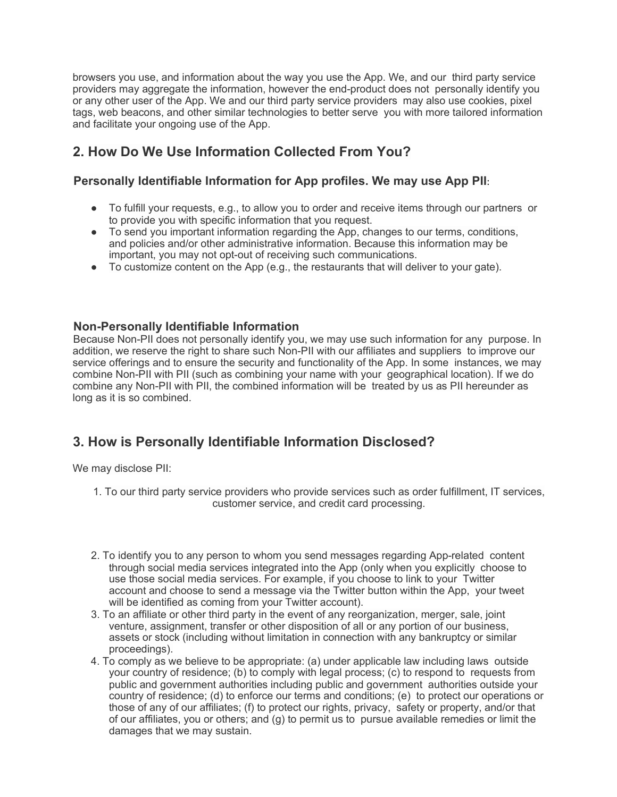browsers you use, and information about the way you use the App. We, and our third party service providers may aggregate the information, however the end-product does not personally identify you or any other user of the App. We and our third party service providers may also use cookies, pixel tags, web beacons, and other similar technologies to better serve you with more tailored information and facilitate your ongoing use of the App.

## **2. How Do We Use Information Collected From You?**

### **Personally Identifiable Information for App profiles. We may use App PII**:

- To fulfill your requests, e.g., to allow you to order and receive items through our partners or to provide you with specific information that you request.
- To send you important information regarding the App, changes to our terms, conditions, and policies and/or other administrative information. Because this information may be important, you may not opt-out of receiving such communications.
- To customize content on the App (e.g., the restaurants that will deliver to your gate).

### **Non-Personally Identifiable Information**

Because Non-PII does not personally identify you, we may use such information for any purpose. In addition, we reserve the right to share such Non-PII with our affiliates and suppliers to improve our service offerings and to ensure the security and functionality of the App. In some instances, we may combine Non-PII with PII (such as combining your name with your geographical location). If we do combine any Non-PII with PII, the combined information will be treated by us as PII hereunder as long as it is so combined.

# **3. How is Personally Identifiable Information Disclosed?**

We may disclose PII:

- 1. To our third party service providers who provide services such as order fulfillment, IT services, customer service, and credit card processing.
- 2. To identify you to any person to whom you send messages regarding App-related content through social media services integrated into the App (only when you explicitly choose to use those social media services. For example, if you choose to link to your Twitter account and choose to send a message via the Twitter button within the App, your tweet will be identified as coming from your Twitter account).
- 3. To an affiliate or other third party in the event of any reorganization, merger, sale, joint venture, assignment, transfer or other disposition of all or any portion of our business, assets or stock (including without limitation in connection with any bankruptcy or similar proceedings).
- 4. To comply as we believe to be appropriate: (a) under applicable law including laws outside your country of residence; (b) to comply with legal process; (c) to respond to requests from public and government authorities including public and government authorities outside your country of residence; (d) to enforce our terms and conditions; (e) to protect our operations or those of any of our affiliates; (f) to protect our rights, privacy, safety or property, and/or that of our affiliates, you or others; and (g) to permit us to pursue available remedies or limit the damages that we may sustain.